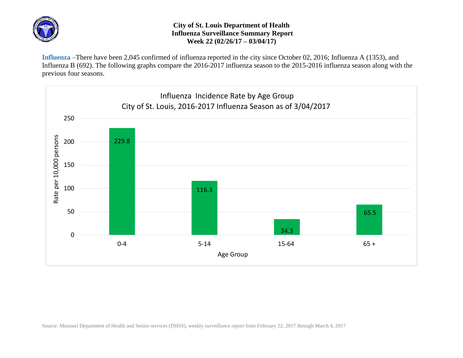

## **City of St. Louis Department of Health Influenza Surveillance Summary Report Week 22 (02/26/17 – 03/04/17)**

**Influenza** –There have been 2,045 confirmed of influenza reported in the city since October 02, 2016; Influenza A (1353), and Influenza B (692). The following graphs compare the 2016-2017 influenza season to the 2015-2016 influenza season along with the previous four seasons.